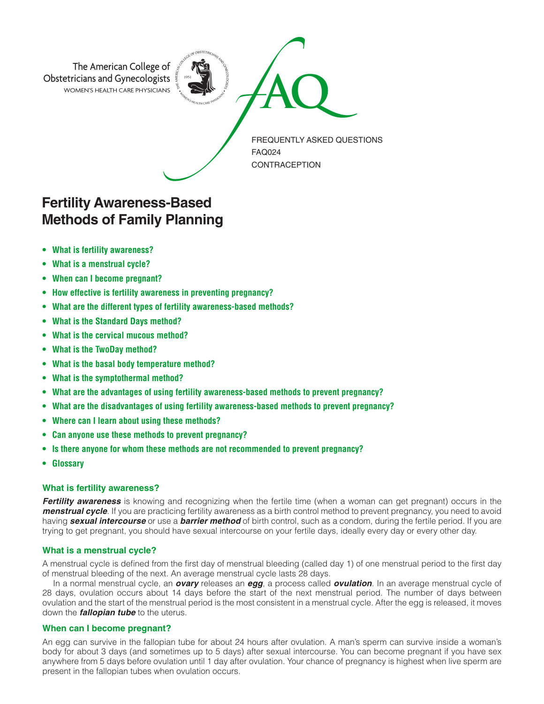

# **Fertility Awareness-Based Methods of Family Planning**

- **• What is fertility awareness?**
- **• What is a menstrual cycle?**
- **• When can I become pregnant?**
- **• How effective is fertility awareness in preventing pregnancy?**
- **• What are the different types of fertility awareness-based methods?**
- **• What is the Standard Days method?**
- **• What is the cervical mucous method?**
- **• What is the TwoDay method?**
- **• What is the basal body temperature method?**
- **• What is the symptothermal method?**
- **• What are the advantages of using fertility awareness-based methods to prevent pregnancy?**
- **• What are the disadvantages of using fertility awareness-based methods to prevent pregnancy?**
- **• Where can I learn about using these methods?**
- **• Can anyone use these methods to prevent pregnancy?**
- **• Is there anyone for whom these methods are not recommended to prevent pregnancy?**
- **• Glossary**

# **What is fertility awareness?**

*Fertility awareness* is knowing and recognizing when the fertile time (when a woman can get pregnant) occurs in the *menstrual cycle*. If you are practicing fertility awareness as a birth control method to prevent pregnancy, you need to avoid having *sexual intercourse* or use a *barrier method* of birth control, such as a condom, during the fertile period. If you are trying to get pregnant, you should have sexual intercourse on your fertile days, ideally every day or every other day.

# **What is a menstrual cycle?**

A menstrual cycle is defined from the first day of menstrual bleeding (called day 1) of one menstrual period to the first day of menstrual bleeding of the next. An average menstrual cycle lasts 28 days.

In a normal menstrual cycle, an *ovary* releases an *egg*, a process called *ovulation*. In an average menstrual cycle of 28 days, ovulation occurs about 14 days before the start of the next menstrual period. The number of days between ovulation and the start of the menstrual period is the most consistent in a menstrual cycle. After the egg is released, it moves down the *fallopian tube* to the uterus.

# **When can I become pregnant?**

An egg can survive in the fallopian tube for about 24 hours after ovulation. A man's sperm can survive inside a woman's body for about 3 days (and sometimes up to 5 days) after sexual intercourse. You can become pregnant if you have sex anywhere from 5 days before ovulation until 1 day after ovulation. Your chance of pregnancy is highest when live sperm are present in the fallopian tubes when ovulation occurs.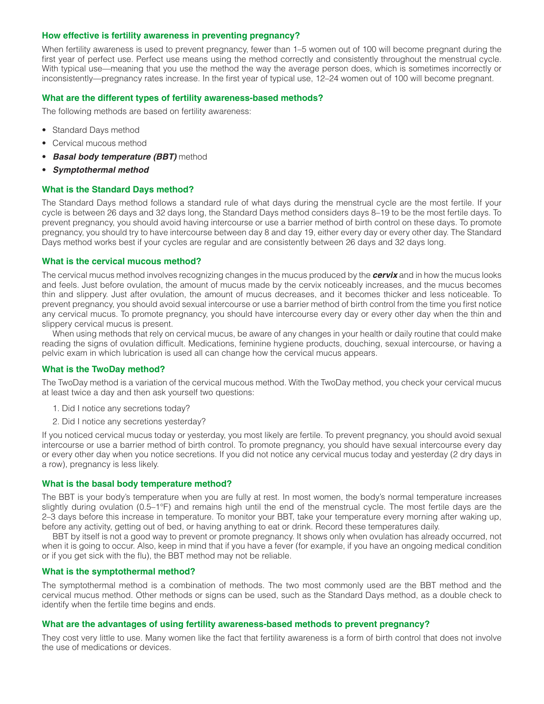## **How effective is fertility awareness in preventing pregnancy?**

When fertility awareness is used to prevent pregnancy, fewer than 1–5 women out of 100 will become pregnant during the first year of perfect use. Perfect use means using the method correctly and consistently throughout the menstrual cycle. With typical use—meaning that you use the method the way the average person does, which is sometimes incorrectly or inconsistently—pregnancy rates increase. In the first year of typical use, 12–24 women out of 100 will become pregnant.

# **What are the different types of fertility awareness-based methods?**

The following methods are based on fertility awareness:

- Standard Days method
- Cervical mucous method
- **Basal body temperature (BBT)** method
- *Symptothermal method*

## **What is the Standard Days method?**

The Standard Days method follows a standard rule of what days during the menstrual cycle are the most fertile. If your cycle is between 26 days and 32 days long, the Standard Days method considers days 8–19 to be the most fertile days. To prevent pregnancy, you should avoid having intercourse or use a barrier method of birth control on these days. To promote pregnancy, you should try to have intercourse between day 8 and day 19, either every day or every other day. The Standard Days method works best if your cycles are regular and are consistently between 26 days and 32 days long.

#### **What is the cervical mucous method?**

The cervical mucus method involves recognizing changes in the mucus produced by the *cervix* and in how the mucus looks and feels. Just before ovulation, the amount of mucus made by the cervix noticeably increases, and the mucus becomes thin and slippery. Just after ovulation, the amount of mucus decreases, and it becomes thicker and less noticeable. To prevent pregnancy, you should avoid sexual intercourse or use a barrier method of birth control from the time you first notice any cervical mucus. To promote pregnancy, you should have intercourse every day or every other day when the thin and slippery cervical mucus is present.

When using methods that rely on cervical mucus, be aware of any changes in your health or daily routine that could make reading the signs of ovulation difficult. Medications, feminine hygiene products, douching, sexual intercourse, or having a pelvic exam in which lubrication is used all can change how the cervical mucus appears.

# **What is the TwoDay method?**

The TwoDay method is a variation of the cervical mucous method. With the TwoDay method, you check your cervical mucus at least twice a day and then ask yourself two questions:

- 1. Did I notice any secretions today?
- 2. Did I notice any secretions yesterday?

If you noticed cervical mucus today or yesterday, you most likely are fertile. To prevent pregnancy, you should avoid sexual intercourse or use a barrier method of birth control. To promote pregnancy, you should have sexual intercourse every day or every other day when you notice secretions. If you did not notice any cervical mucus today and yesterday (2 dry days in a row), pregnancy is less likely.

#### **What is the basal body temperature method?**

The BBT is your body's temperature when you are fully at rest. In most women, the body's normal temperature increases slightly during ovulation (0.5–1°F) and remains high until the end of the menstrual cycle. The most fertile days are the 2–3 days before this increase in temperature. To monitor your BBT, take your temperature every morning after waking up, before any activity, getting out of bed, or having anything to eat or drink. Record these temperatures daily.

BBT by itself is not a good way to prevent or promote pregnancy. It shows only when ovulation has already occurred, not when it is going to occur. Also, keep in mind that if you have a fever (for example, if you have an ongoing medical condition or if you get sick with the flu), the BBT method may not be reliable.

### **What is the symptothermal method?**

The symptothermal method is a combination of methods. The two most commonly used are the BBT method and the cervical mucus method. Other methods or signs can be used, such as the Standard Days method, as a double check to identify when the fertile time begins and ends.

#### **What are the advantages of using fertility awareness-based methods to prevent pregnancy?**

They cost very little to use. Many women like the fact that fertility awareness is a form of birth control that does not involve the use of medications or devices.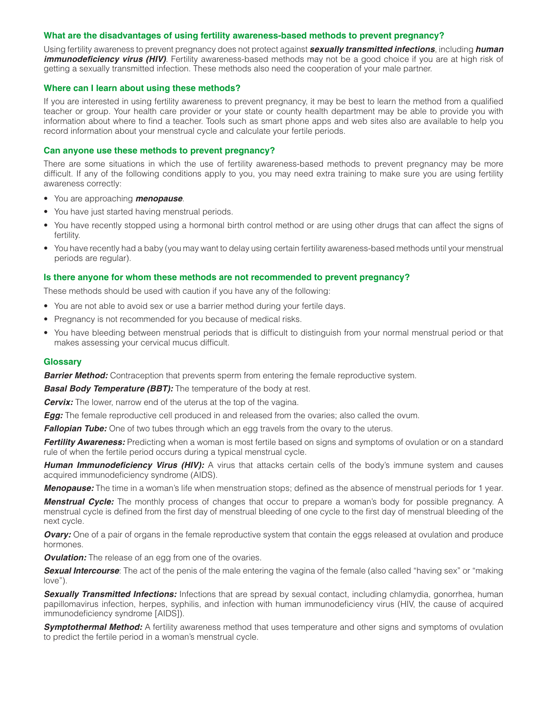## **What are the disadvantages of using fertility awareness-based methods to prevent pregnancy?**

Using fertility awareness to prevent pregnancy does not protect against *sexually transmitted infections*, including *human*  **immunodeficiency virus (HIV)**. Fertility awareness-based methods may not be a good choice if you are at high risk of getting a sexually transmitted infection. These methods also need the cooperation of your male partner.

## **Where can I learn about using these methods?**

If you are interested in using fertility awareness to prevent pregnancy, it may be best to learn the method from a qualified teacher or group. Your health care provider or your state or county health department may be able to provide you with information about where to find a teacher. Tools such as smart phone apps and web sites also are available to help you record information about your menstrual cycle and calculate your fertile periods.

## **Can anyone use these methods to prevent pregnancy?**

There are some situations in which the use of fertility awareness-based methods to prevent pregnancy may be more difficult. If any of the following conditions apply to you, you may need extra training to make sure you are using fertility awareness correctly:

- You are approaching *menopause*.
- You have just started having menstrual periods.
- You have recently stopped using a hormonal birth control method or are using other drugs that can affect the signs of fertility.
- You have recently had a baby (you may want to delay using certain fertility awareness-based methods until your menstrual periods are regular).

### **Is there anyone for whom these methods are not recommended to prevent pregnancy?**

These methods should be used with caution if you have any of the following:

- You are not able to avoid sex or use a barrier method during your fertile days.
- Pregnancy is not recommended for you because of medical risks.
- You have bleeding between menstrual periods that is difficult to distinguish from your normal menstrual period or that makes assessing your cervical mucus difficult.

#### **Glossary**

**Barrier Method:** Contraception that prevents sperm from entering the female reproductive system.

*Basal Body Temperature (BBT):* The temperature of the body at rest.

*Cervix:* The lower, narrow end of the uterus at the top of the vagina.

*Egg:* The female reproductive cell produced in and released from the ovaries; also called the ovum.

*Fallopian Tube:* One of two tubes through which an egg travels from the ovary to the uterus.

*Fertility Awareness:* Predicting when a woman is most fertile based on signs and symptoms of ovulation or on a standard rule of when the fertile period occurs during a typical menstrual cycle.

**Human Immunodeficiency Virus (HIV):** A virus that attacks certain cells of the body's immune system and causes acquired immunodeficiency syndrome (AIDS).

*Menopause:* The time in a woman's life when menstruation stops; defined as the absence of menstrual periods for 1 year.

*Menstrual Cycle:* The monthly process of changes that occur to prepare a woman's body for possible pregnancy. A menstrual cycle is defined from the first day of menstrual bleeding of one cycle to the first day of menstrual bleeding of the next cycle.

*Ovary:* One of a pair of organs in the female reproductive system that contain the eggs released at ovulation and produce hormones.

**Ovulation:** The release of an egg from one of the ovaries.

*Sexual Intercourse*: The act of the penis of the male entering the vagina of the female (also called "having sex" or "making love").

*Sexually Transmitted Infections:* Infections that are spread by sexual contact, including chlamydia, gonorrhea, human papillomavirus infection, herpes, syphilis, and infection with human immunodeficiency virus (HIV, the cause of acquired immunodeficiency syndrome [AIDS]).

**Symptothermal Method:** A fertility awareness method that uses temperature and other signs and symptoms of ovulation to predict the fertile period in a woman's menstrual cycle.